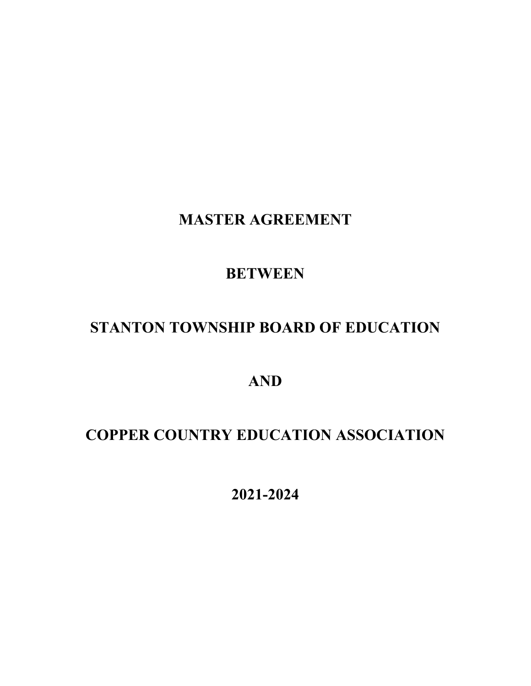**MASTER AGREEMENT**

## **BETWEEN**

# **STANTON TOWNSHIP BOARD OF EDUCATION**

**AND**

# **COPPER COUNTRY EDUCATION ASSOCIATION**

**2021-2024**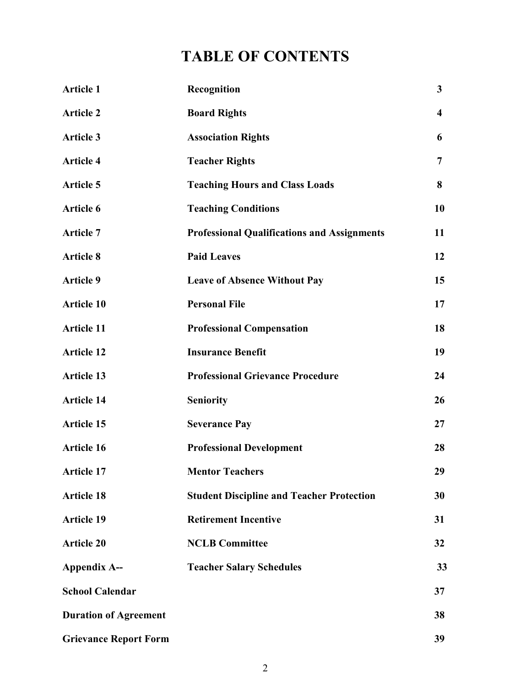# **TABLE OF CONTENTS**

| <b>Article 1</b>             | Recognition                                        | $\mathbf{3}$            |
|------------------------------|----------------------------------------------------|-------------------------|
| <b>Article 2</b>             | <b>Board Rights</b>                                | $\overline{\mathbf{4}}$ |
| <b>Article 3</b>             | <b>Association Rights</b>                          | 6                       |
| <b>Article 4</b>             | <b>Teacher Rights</b>                              | $\overline{7}$          |
| <b>Article 5</b>             | <b>Teaching Hours and Class Loads</b>              | 8                       |
| Article 6                    | <b>Teaching Conditions</b>                         | 10                      |
| <b>Article 7</b>             | <b>Professional Qualifications and Assignments</b> | 11                      |
| <b>Article 8</b>             | <b>Paid Leaves</b>                                 | 12                      |
| <b>Article 9</b>             | <b>Leave of Absence Without Pay</b>                | 15                      |
| <b>Article 10</b>            | <b>Personal File</b>                               | 17                      |
| <b>Article 11</b>            | <b>Professional Compensation</b>                   | 18                      |
| <b>Article 12</b>            | <b>Insurance Benefit</b>                           | 19                      |
| <b>Article 13</b>            | <b>Professional Grievance Procedure</b>            | 24                      |
| <b>Article 14</b>            | <b>Seniority</b>                                   | 26                      |
| <b>Article 15</b>            | <b>Severance Pay</b>                               | 27                      |
| <b>Article 16</b>            | <b>Professional Development</b>                    | 28                      |
| <b>Article 17</b>            | <b>Mentor Teachers</b>                             | 29                      |
| <b>Article 18</b>            | <b>Student Discipline and Teacher Protection</b>   | 30                      |
| <b>Article 19</b>            | <b>Retirement Incentive</b>                        | 31                      |
| <b>Article 20</b>            | <b>NCLB Committee</b>                              | 32                      |
| <b>Appendix A--</b>          | <b>Teacher Salary Schedules</b>                    | 33                      |
| <b>School Calendar</b>       |                                                    | 37                      |
| <b>Duration of Agreement</b> |                                                    | 38                      |
| <b>Grievance Report Form</b> |                                                    | 39                      |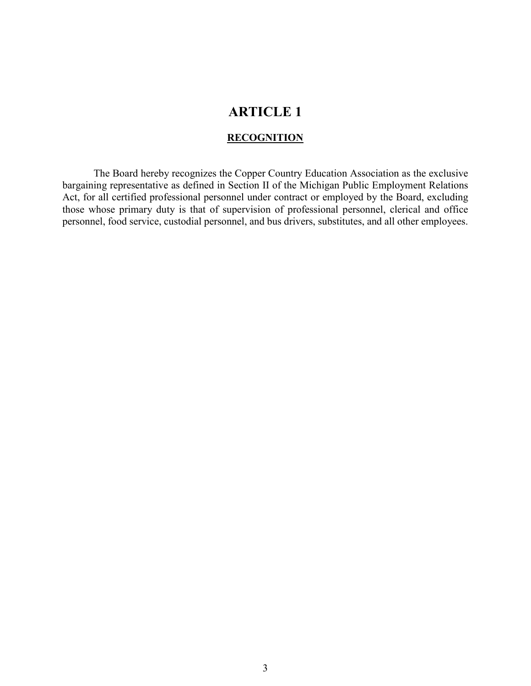#### **RECOGNITION**

The Board hereby recognizes the Copper Country Education Association as the exclusive bargaining representative as defined in Section II of the Michigan Public Employment Relations Act, for all certified professional personnel under contract or employed by the Board, excluding those whose primary duty is that of supervision of professional personnel, clerical and office personnel, food service, custodial personnel, and bus drivers, substitutes, and all other employees.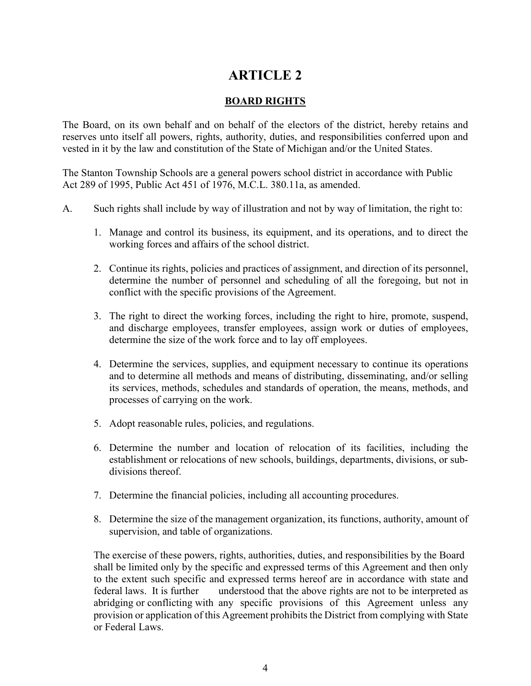### **BOARD RIGHTS**

The Board, on its own behalf and on behalf of the electors of the district, hereby retains and reserves unto itself all powers, rights, authority, duties, and responsibilities conferred upon and vested in it by the law and constitution of the State of Michigan and/or the United States.

The Stanton Township Schools are a general powers school district in accordance with Public Act 289 of 1995, Public Act 451 of 1976, M.C.L. 380.11a, as amended.

- A. Such rights shall include by way of illustration and not by way of limitation, the right to:
	- 1. Manage and control its business, its equipment, and its operations, and to direct the working forces and affairs of the school district.
	- 2. Continue its rights, policies and practices of assignment, and direction of its personnel, determine the number of personnel and scheduling of all the foregoing, but not in conflict with the specific provisions of the Agreement.
	- 3. The right to direct the working forces, including the right to hire, promote, suspend, and discharge employees, transfer employees, assign work or duties of employees, determine the size of the work force and to lay off employees.
	- 4. Determine the services, supplies, and equipment necessary to continue its operations and to determine all methods and means of distributing, disseminating, and/or selling its services, methods, schedules and standards of operation, the means, methods, and processes of carrying on the work.
	- 5. Adopt reasonable rules, policies, and regulations.
	- 6. Determine the number and location of relocation of its facilities, including the establishment or relocations of new schools, buildings, departments, divisions, or subdivisions thereof.
	- 7. Determine the financial policies, including all accounting procedures.
	- 8. Determine the size of the management organization, its functions, authority, amount of supervision, and table of organizations.

The exercise of these powers, rights, authorities, duties, and responsibilities by the Board shall be limited only by the specific and expressed terms of this Agreement and then only to the extent such specific and expressed terms hereof are in accordance with state and federal laws. It is further understood that the above rights are not to be interpreted as abridging or conflicting with any specific provisions of this Agreement unless any provision or application of this Agreement prohibits the District from complying with State or Federal Laws.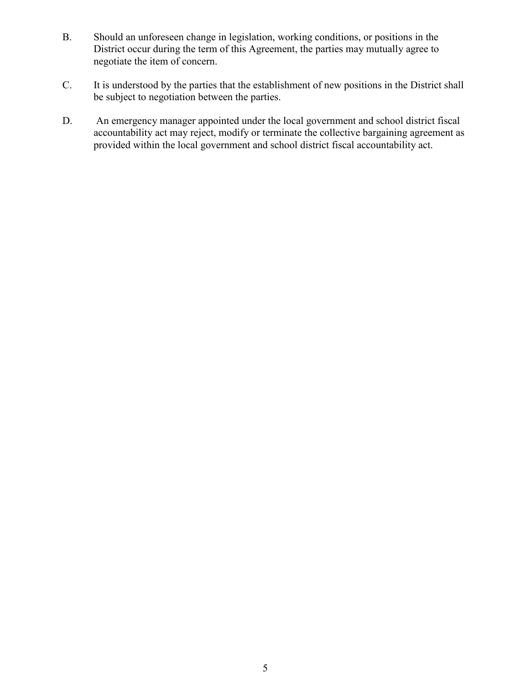- B. Should an unforeseen change in legislation, working conditions, or positions in the District occur during the term of this Agreement, the parties may mutually agree to negotiate the item of concern.
- C. It is understood by the parties that the establishment of new positions in the District shall be subject to negotiation between the parties.
- D. An emergency manager appointed under the local government and school district fiscal accountability act may reject, modify or terminate the collective bargaining agreement as provided within the local government and school district fiscal accountability act.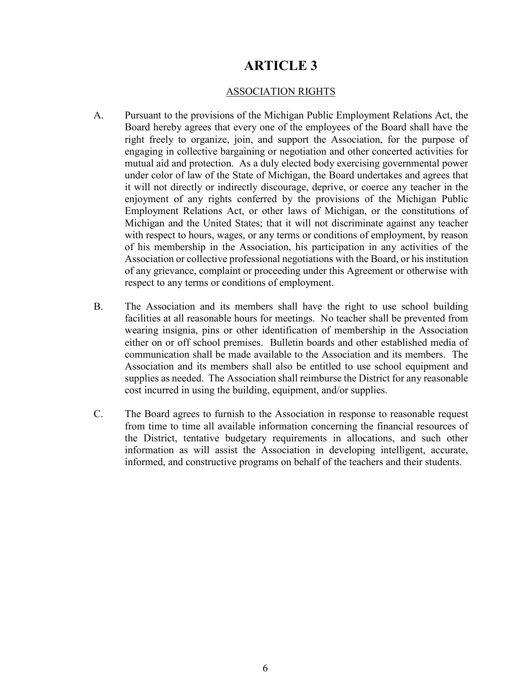#### ASSOCIATION RIGHTS

- A. Pursuant to the provisions of the Michigan Public Employment Relations Act, the Board hereby agrees that every one of the employees of the Board shall have the right freely to organize, join, and support the Association, for the purpose of engaging in collective bargaining or negotiation and other concerted activities for mutual aid and protection. As a duly elected body exercising governmental power under color of law of the State of Michigan, the Board undertakes and agrees that it will not directly or indirectly discourage, deprive, or coerce any teacher in the enjoyment of any rights conferred by the provisions of the Michigan Public Employment Relations Act, or other laws of Michigan, or the constitutions of Michigan and the United States; that it will not discriminate against any teacher with respect to hours, wages, or any terms or conditions of employment, by reason of his membership in the Association, his participation in any activities of the Association or collective professional negotiations with the Board, or his institution of any grievance, complaint or proceeding under this Agreement or otherwise with respect to any terms or conditions of employment.
- B. The Association and its members shall have the right to use school building facilities at all reasonable hours for meetings. No teacher shall be prevented from wearing insignia, pins or other identification of membership in the Association either on or off school premises. Bulletin boards and other established media of communication shall be made available to the Association and its members. The Association and its members shall also be entitled to use school equipment and supplies as needed. The Association shall reimburse the District for any reasonable cost incurred in using the building, equipment, and/or supplies.
- C. The Board agrees to furnish to the Association in response to reasonable request from time to time all available information concerning the financial resources of the District, tentative budgetary requirements in allocations, and such other information as will assist the Association in developing intelligent, accurate, informed, and constructive programs on behalf of the teachers and their students.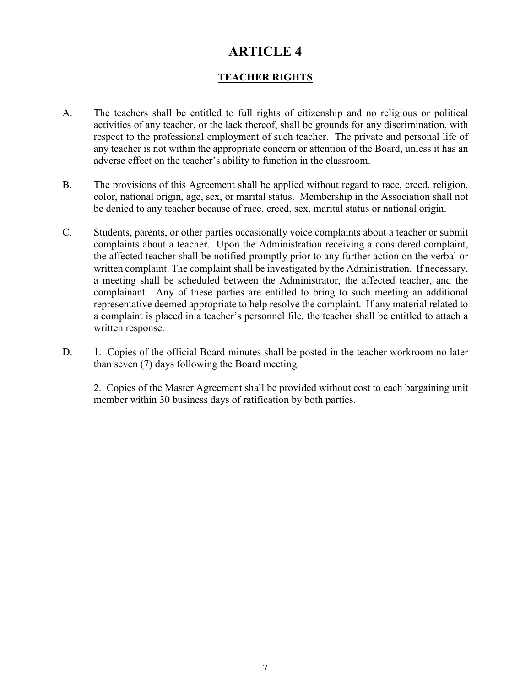## **TEACHER RIGHTS**

- A. The teachers shall be entitled to full rights of citizenship and no religious or political activities of any teacher, or the lack thereof, shall be grounds for any discrimination, with respect to the professional employment of such teacher. The private and personal life of any teacher is not within the appropriate concern or attention of the Board, unless it has an adverse effect on the teacher's ability to function in the classroom.
- B. The provisions of this Agreement shall be applied without regard to race, creed, religion, color, national origin, age, sex, or marital status. Membership in the Association shall not be denied to any teacher because of race, creed, sex, marital status or national origin.
- C. Students, parents, or other parties occasionally voice complaints about a teacher or submit complaints about a teacher. Upon the Administration receiving a considered complaint, the affected teacher shall be notified promptly prior to any further action on the verbal or written complaint. The complaint shall be investigated by the Administration. If necessary, a meeting shall be scheduled between the Administrator, the affected teacher, and the complainant. Any of these parties are entitled to bring to such meeting an additional representative deemed appropriate to help resolve the complaint. If any material related to a complaint is placed in a teacher's personnel file, the teacher shall be entitled to attach a written response.
- D. 1. Copies of the official Board minutes shall be posted in the teacher workroom no later than seven (7) days following the Board meeting.

2. Copies of the Master Agreement shall be provided without cost to each bargaining unit member within 30 business days of ratification by both parties.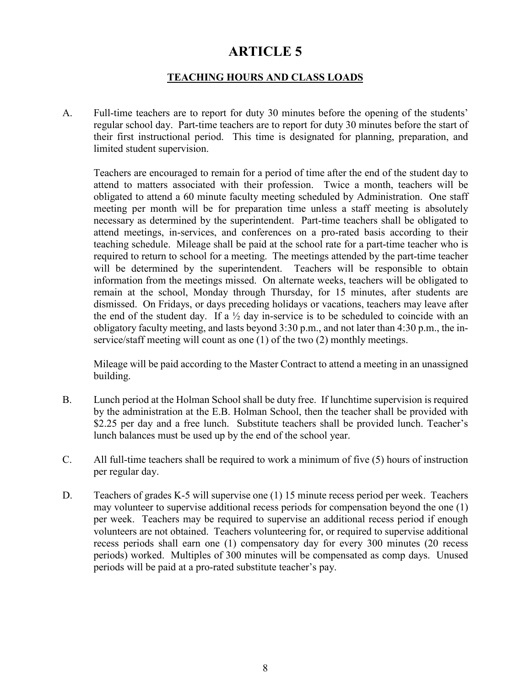### **TEACHING HOURS AND CLASS LOADS**

A. Full-time teachers are to report for duty 30 minutes before the opening of the students' regular school day. Part-time teachers are to report for duty 30 minutes before the start of their first instructional period. This time is designated for planning, preparation, and limited student supervision.

Teachers are encouraged to remain for a period of time after the end of the student day to attend to matters associated with their profession. Twice a month, teachers will be obligated to attend a 60 minute faculty meeting scheduled by Administration. One staff meeting per month will be for preparation time unless a staff meeting is absolutely necessary as determined by the superintendent. Part-time teachers shall be obligated to attend meetings, in-services, and conferences on a pro-rated basis according to their teaching schedule. Mileage shall be paid at the school rate for a part-time teacher who is required to return to school for a meeting. The meetings attended by the part-time teacher will be determined by the superintendent. Teachers will be responsible to obtain information from the meetings missed. On alternate weeks, teachers will be obligated to remain at the school, Monday through Thursday, for 15 minutes, after students are dismissed. On Fridays, or days preceding holidays or vacations, teachers may leave after the end of the student day. If a  $\frac{1}{2}$  day in-service is to be scheduled to coincide with an obligatory faculty meeting, and lasts beyond 3:30 p.m., and not later than 4:30 p.m., the inservice/staff meeting will count as one (1) of the two (2) monthly meetings.

Mileage will be paid according to the Master Contract to attend a meeting in an unassigned building.

- B. Lunch period at the Holman School shall be duty free. If lunchtime supervision is required by the administration at the E.B. Holman School, then the teacher shall be provided with \$2.25 per day and a free lunch. Substitute teachers shall be provided lunch. Teacher's lunch balances must be used up by the end of the school year.
- C. All full-time teachers shall be required to work a minimum of five (5) hours of instruction per regular day.
- D. Teachers of grades K-5 will supervise one (1) 15 minute recess period per week. Teachers may volunteer to supervise additional recess periods for compensation beyond the one (1) per week. Teachers may be required to supervise an additional recess period if enough volunteers are not obtained. Teachers volunteering for, or required to supervise additional recess periods shall earn one (1) compensatory day for every 300 minutes (20 recess periods) worked. Multiples of 300 minutes will be compensated as comp days. Unused periods will be paid at a pro-rated substitute teacher's pay.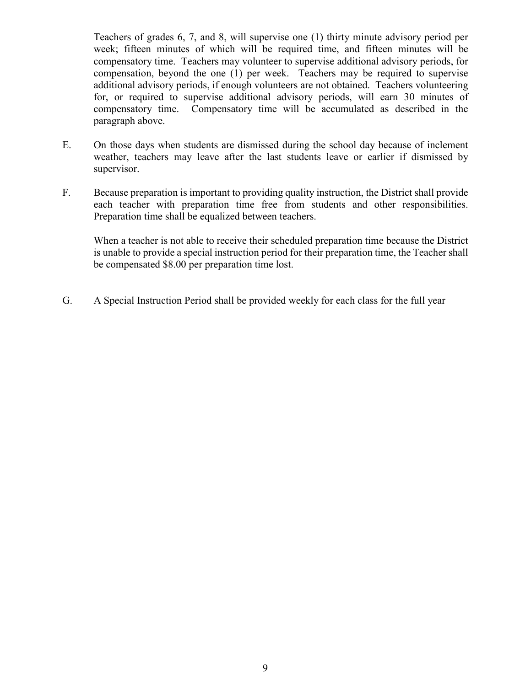Teachers of grades 6, 7, and 8, will supervise one (1) thirty minute advisory period per week; fifteen minutes of which will be required time, and fifteen minutes will be compensatory time. Teachers may volunteer to supervise additional advisory periods, for compensation, beyond the one (1) per week. Teachers may be required to supervise additional advisory periods, if enough volunteers are not obtained. Teachers volunteering for, or required to supervise additional advisory periods, will earn 30 minutes of compensatory time. Compensatory time will be accumulated as described in the paragraph above.

- E. On those days when students are dismissed during the school day because of inclement weather, teachers may leave after the last students leave or earlier if dismissed by supervisor.
- F. Because preparation is important to providing quality instruction, the District shall provide each teacher with preparation time free from students and other responsibilities. Preparation time shall be equalized between teachers.

When a teacher is not able to receive their scheduled preparation time because the District is unable to provide a special instruction period for their preparation time, the Teacher shall be compensated \$8.00 per preparation time lost.

G. A Special Instruction Period shall be provided weekly for each class for the full year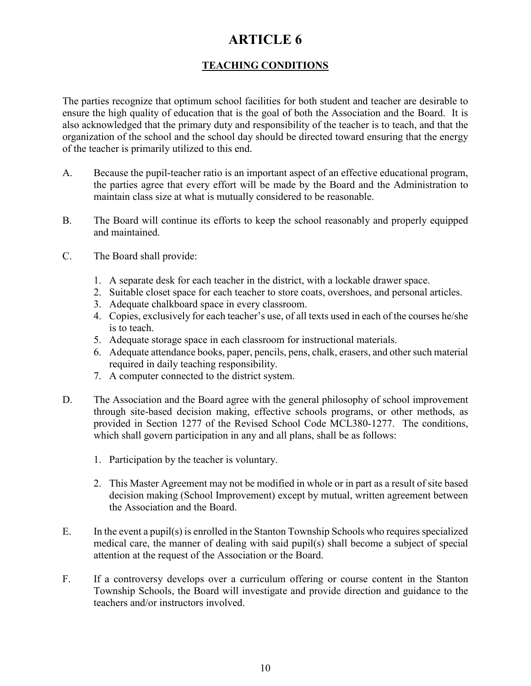## **TEACHING CONDITIONS**

The parties recognize that optimum school facilities for both student and teacher are desirable to ensure the high quality of education that is the goal of both the Association and the Board. It is also acknowledged that the primary duty and responsibility of the teacher is to teach, and that the organization of the school and the school day should be directed toward ensuring that the energy of the teacher is primarily utilized to this end.

- A. Because the pupil-teacher ratio is an important aspect of an effective educational program, the parties agree that every effort will be made by the Board and the Administration to maintain class size at what is mutually considered to be reasonable.
- B. The Board will continue its efforts to keep the school reasonably and properly equipped and maintained.
- C. The Board shall provide:
	- 1. A separate desk for each teacher in the district, with a lockable drawer space.
	- 2. Suitable closet space for each teacher to store coats, overshoes, and personal articles.
	- 3. Adequate chalkboard space in every classroom.
	- 4. Copies, exclusively for each teacher's use, of all texts used in each of the courses he/she is to teach.
	- 5. Adequate storage space in each classroom for instructional materials.
	- 6. Adequate attendance books, paper, pencils, pens, chalk, erasers, and other such material required in daily teaching responsibility.
	- 7. A computer connected to the district system.
- D. The Association and the Board agree with the general philosophy of school improvement through site-based decision making, effective schools programs, or other methods, as provided in Section 1277 of the Revised School Code MCL380-1277. The conditions, which shall govern participation in any and all plans, shall be as follows:
	- 1. Participation by the teacher is voluntary.
	- 2. This Master Agreement may not be modified in whole or in part as a result of site based decision making (School Improvement) except by mutual, written agreement between the Association and the Board.
- E. In the event a pupil(s) is enrolled in the Stanton Township Schools who requires specialized medical care, the manner of dealing with said pupil(s) shall become a subject of special attention at the request of the Association or the Board.
- F. If a controversy develops over a curriculum offering or course content in the Stanton Township Schools, the Board will investigate and provide direction and guidance to the teachers and/or instructors involved.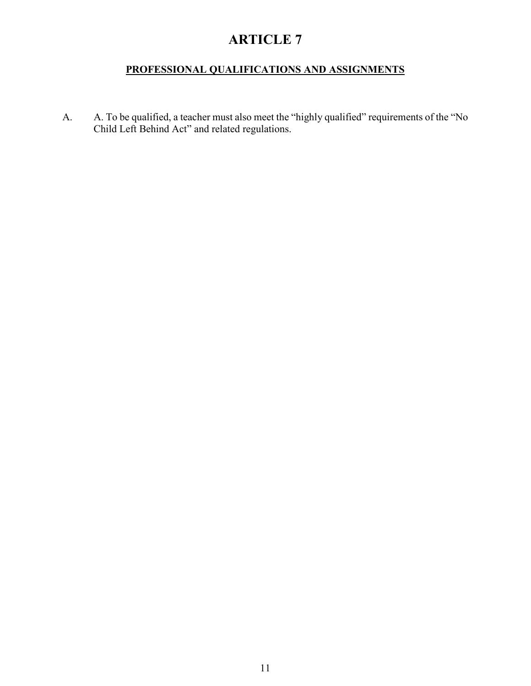## **PROFESSIONAL QUALIFICATIONS AND ASSIGNMENTS**

A. A. To be qualified, a teacher must also meet the "highly qualified" requirements of the "No Child Left Behind Act" and related regulations.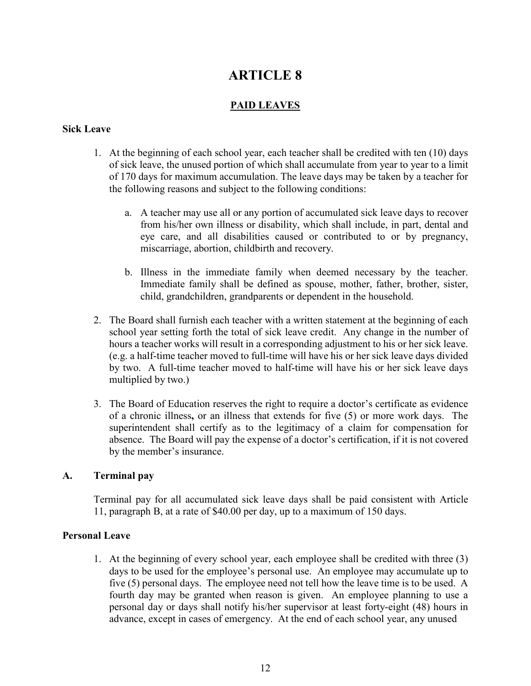### **PAID LEAVES**

#### **Sick Leave**

- 1. At the beginning of each school year, each teacher shall be credited with ten (10) days of sick leave, the unused portion of which shall accumulate from year to year to a limit of 170 days for maximum accumulation. The leave days may be taken by a teacher for the following reasons and subject to the following conditions:
	- a. A teacher may use all or any portion of accumulated sick leave days to recover from his/her own illness or disability, which shall include, in part, dental and eye care, and all disabilities caused or contributed to or by pregnancy, miscarriage, abortion, childbirth and recovery.
	- b. Illness in the immediate family when deemed necessary by the teacher. Immediate family shall be defined as spouse, mother, father, brother, sister, child, grandchildren, grandparents or dependent in the household.
- 2. The Board shall furnish each teacher with a written statement at the beginning of each school year setting forth the total of sick leave credit. Any change in the number of hours a teacher works will result in a corresponding adjustment to his or her sick leave. (e.g. a half-time teacher moved to full-time will have his or her sick leave days divided by two. A full-time teacher moved to half-time will have his or her sick leave days multiplied by two.)
- 3. The Board of Education reserves the right to require a doctor's certificate as evidence of a chronic illness**,** or an illness that extends for five (5) or more work days. The superintendent shall certify as to the legitimacy of a claim for compensation for absence. The Board will pay the expense of a doctor's certification, if it is not covered by the member's insurance.

#### **A. Terminal pay**

Terminal pay for all accumulated sick leave days shall be paid consistent with Article 11, paragraph B, at a rate of \$40.00 per day, up to a maximum of 150 days.

#### **Personal Leave**

1. At the beginning of every school year, each employee shall be credited with three (3) days to be used for the employee's personal use. An employee may accumulate up to five (5) personal days. The employee need not tell how the leave time is to be used. A fourth day may be granted when reason is given. An employee planning to use a personal day or days shall notify his/her supervisor at least forty-eight (48) hours in advance, except in cases of emergency. At the end of each school year, any unused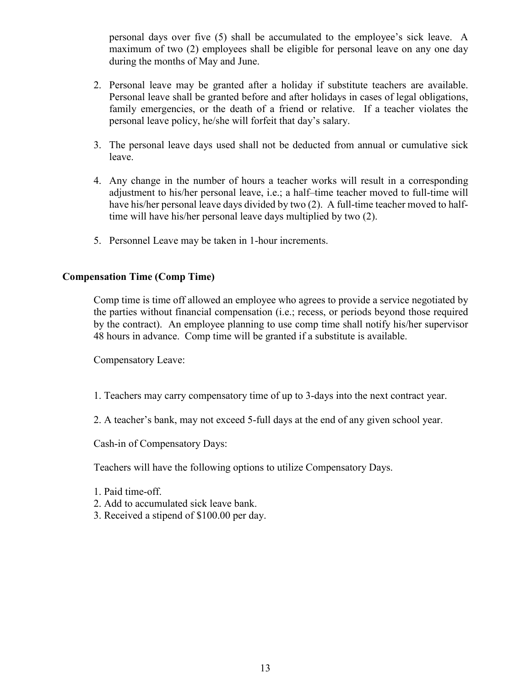personal days over five (5) shall be accumulated to the employee's sick leave. A maximum of two (2) employees shall be eligible for personal leave on any one day during the months of May and June.

- 2. Personal leave may be granted after a holiday if substitute teachers are available. Personal leave shall be granted before and after holidays in cases of legal obligations, family emergencies, or the death of a friend or relative. If a teacher violates the personal leave policy, he/she will forfeit that day's salary.
- 3. The personal leave days used shall not be deducted from annual or cumulative sick leave.
- 4. Any change in the number of hours a teacher works will result in a corresponding adjustment to his/her personal leave, i.e.; a half–time teacher moved to full-time will have his/her personal leave days divided by two (2). A full-time teacher moved to halftime will have his/her personal leave days multiplied by two (2).
- 5. Personnel Leave may be taken in 1-hour increments.

#### **Compensation Time (Comp Time)**

Comp time is time off allowed an employee who agrees to provide a service negotiated by the parties without financial compensation (i.e.; recess, or periods beyond those required by the contract). An employee planning to use comp time shall notify his/her supervisor 48 hours in advance. Comp time will be granted if a substitute is available.

Compensatory Leave:

- 1. Teachers may carry compensatory time of up to 3-days into the next contract year.
- 2. A teacher's bank, may not exceed 5-full days at the end of any given school year.

Cash-in of Compensatory Days:

Teachers will have the following options to utilize Compensatory Days.

- 1. Paid time-off.
- 2. Add to accumulated sick leave bank.
- 3. Received a stipend of \$100.00 per day.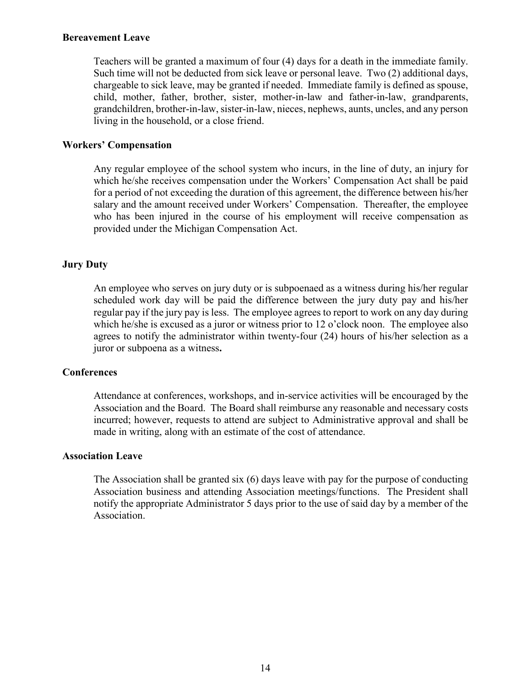#### **Bereavement Leave**

Teachers will be granted a maximum of four (4) days for a death in the immediate family. Such time will not be deducted from sick leave or personal leave. Two (2) additional days, chargeable to sick leave, may be granted if needed. Immediate family is defined as spouse, child, mother, father, brother, sister, mother-in-law and father-in-law, grandparents, grandchildren, brother-in-law, sister-in-law, nieces, nephews, aunts, uncles, and any person living in the household, or a close friend.

#### **Workers' Compensation**

Any regular employee of the school system who incurs, in the line of duty, an injury for which he/she receives compensation under the Workers' Compensation Act shall be paid for a period of not exceeding the duration of this agreement, the difference between his/her salary and the amount received under Workers' Compensation. Thereafter, the employee who has been injured in the course of his employment will receive compensation as provided under the Michigan Compensation Act.

#### **Jury Duty**

An employee who serves on jury duty or is subpoenaed as a witness during his/her regular scheduled work day will be paid the difference between the jury duty pay and his/her regular pay if the jury pay is less. The employee agrees to report to work on any day during which he/she is excused as a juror or witness prior to 12 o'clock noon. The employee also agrees to notify the administrator within twenty-four (24) hours of his/her selection as a juror or subpoena as a witness**.**

#### **Conferences**

Attendance at conferences, workshops, and in-service activities will be encouraged by the Association and the Board. The Board shall reimburse any reasonable and necessary costs incurred; however, requests to attend are subject to Administrative approval and shall be made in writing, along with an estimate of the cost of attendance.

#### **Association Leave**

The Association shall be granted six (6) days leave with pay for the purpose of conducting Association business and attending Association meetings/functions. The President shall notify the appropriate Administrator 5 days prior to the use of said day by a member of the Association.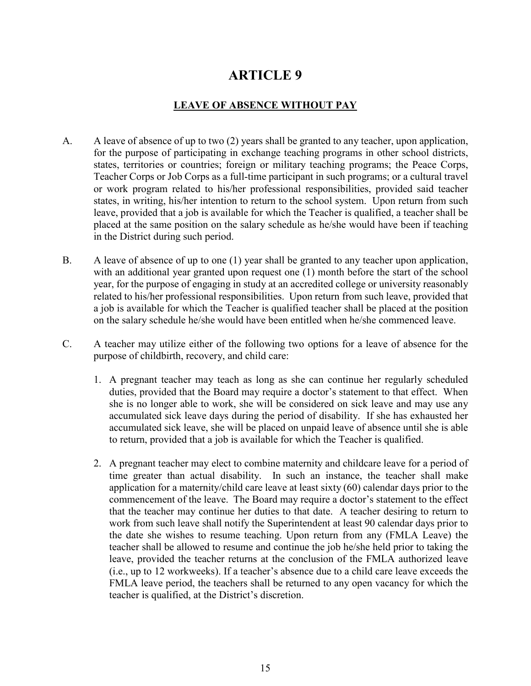### **LEAVE OF ABSENCE WITHOUT PAY**

- A. A leave of absence of up to two (2) years shall be granted to any teacher, upon application, for the purpose of participating in exchange teaching programs in other school districts, states, territories or countries; foreign or military teaching programs; the Peace Corps, Teacher Corps or Job Corps as a full-time participant in such programs; or a cultural travel or work program related to his/her professional responsibilities, provided said teacher states, in writing, his/her intention to return to the school system. Upon return from such leave, provided that a job is available for which the Teacher is qualified, a teacher shall be placed at the same position on the salary schedule as he/she would have been if teaching in the District during such period.
- B. A leave of absence of up to one (1) year shall be granted to any teacher upon application, with an additional year granted upon request one (1) month before the start of the school year, for the purpose of engaging in study at an accredited college or university reasonably related to his/her professional responsibilities. Upon return from such leave, provided that a job is available for which the Teacher is qualified teacher shall be placed at the position on the salary schedule he/she would have been entitled when he/she commenced leave.
- C. A teacher may utilize either of the following two options for a leave of absence for the purpose of childbirth, recovery, and child care:
	- 1. A pregnant teacher may teach as long as she can continue her regularly scheduled duties, provided that the Board may require a doctor's statement to that effect. When she is no longer able to work, she will be considered on sick leave and may use any accumulated sick leave days during the period of disability. If she has exhausted her accumulated sick leave, she will be placed on unpaid leave of absence until she is able to return, provided that a job is available for which the Teacher is qualified.
	- 2. A pregnant teacher may elect to combine maternity and childcare leave for a period of time greater than actual disability. In such an instance, the teacher shall make application for a maternity/child care leave at least sixty (60) calendar days prior to the commencement of the leave. The Board may require a doctor's statement to the effect that the teacher may continue her duties to that date. A teacher desiring to return to work from such leave shall notify the Superintendent at least 90 calendar days prior to the date she wishes to resume teaching. Upon return from any (FMLA Leave) the teacher shall be allowed to resume and continue the job he/she held prior to taking the leave, provided the teacher returns at the conclusion of the FMLA authorized leave (i.e., up to 12 workweeks). If a teacher's absence due to a child care leave exceeds the FMLA leave period, the teachers shall be returned to any open vacancy for which the teacher is qualified, at the District's discretion.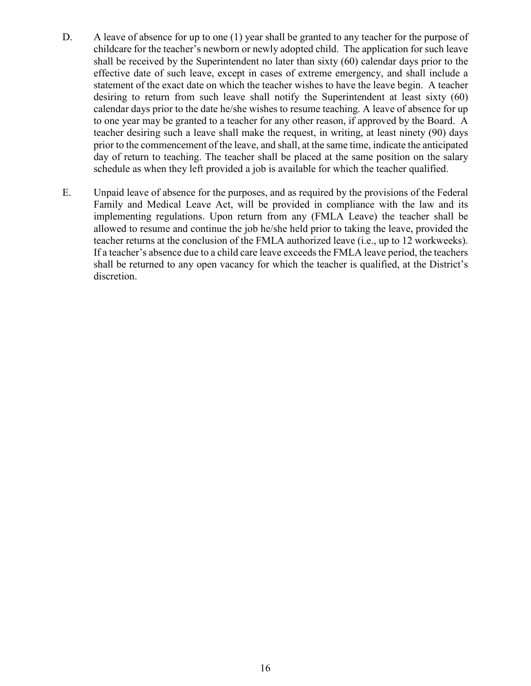- D. A leave of absence for up to one (1) year shall be granted to any teacher for the purpose of childcare for the teacher's newborn or newly adopted child. The application for such leave shall be received by the Superintendent no later than sixty (60) calendar days prior to the effective date of such leave, except in cases of extreme emergency, and shall include a statement of the exact date on which the teacher wishes to have the leave begin. A teacher desiring to return from such leave shall notify the Superintendent at least sixty (60) calendar days prior to the date he/she wishes to resume teaching. A leave of absence for up to one year may be granted to a teacher for any other reason, if approved by the Board. A teacher desiring such a leave shall make the request, in writing, at least ninety (90) days prior to the commencement of the leave, and shall, at the same time, indicate the anticipated day of return to teaching. The teacher shall be placed at the same position on the salary schedule as when they left provided a job is available for which the teacher qualified.
- E. Unpaid leave of absence for the purposes, and as required by the provisions of the Federal Family and Medical Leave Act, will be provided in compliance with the law and its implementing regulations. Upon return from any (FMLA Leave) the teacher shall be allowed to resume and continue the job he/she held prior to taking the leave, provided the teacher returns at the conclusion of the FMLA authorized leave (i.e., up to 12 workweeks). If a teacher's absence due to a child care leave exceeds the FMLA leave period, the teachers shall be returned to any open vacancy for which the teacher is qualified, at the District's discretion.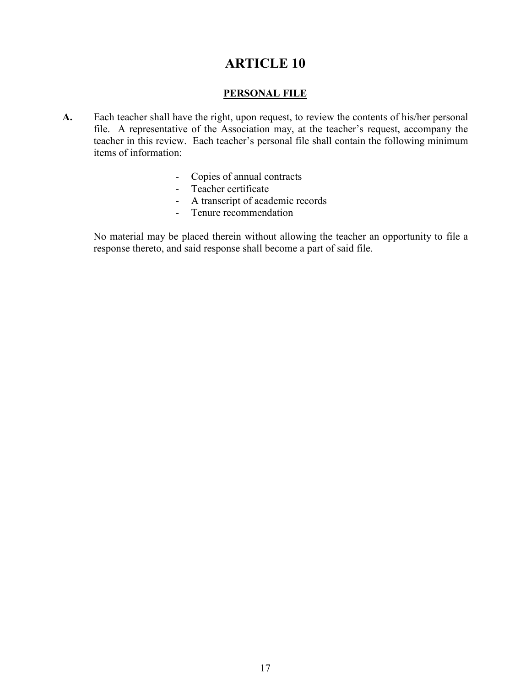### **PERSONAL FILE**

- **A.** Each teacher shall have the right, upon request, to review the contents of his/her personal file. A representative of the Association may, at the teacher's request, accompany the teacher in this review. Each teacher's personal file shall contain the following minimum items of information:
	- Copies of annual contracts
	- Teacher certificate
	- A transcript of academic records
	- Tenure recommendation

No material may be placed therein without allowing the teacher an opportunity to file a response thereto, and said response shall become a part of said file.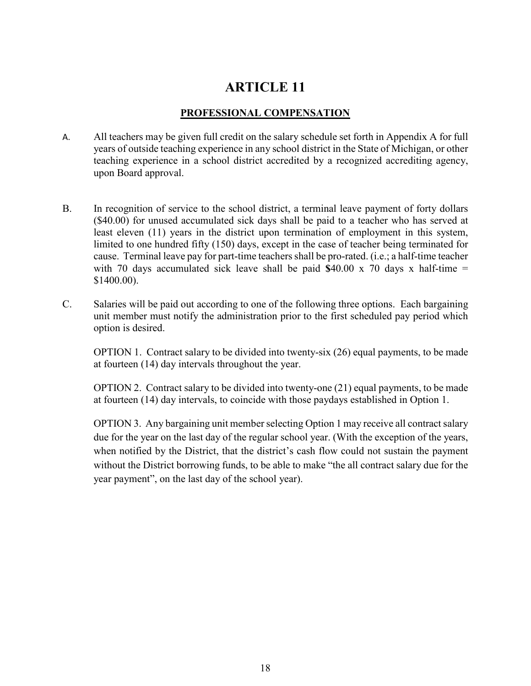### **PROFESSIONAL COMPENSATION**

- A. All teachers may be given full credit on the salary schedule set forth in Appendix A for full years of outside teaching experience in any school district in the State of Michigan, or other teaching experience in a school district accredited by a recognized accrediting agency, upon Board approval.
- B. In recognition of service to the school district, a terminal leave payment of forty dollars (\$40.00) for unused accumulated sick days shall be paid to a teacher who has served at least eleven (11) years in the district upon termination of employment in this system, limited to one hundred fifty (150) days, except in the case of teacher being terminated for cause. Terminal leave pay for part-time teachers shall be pro-rated. (i.e.; a half-time teacher with 70 days accumulated sick leave shall be paid **\$**40.00 x 70 days x half-time = \$1400.00).
- C. Salaries will be paid out according to one of the following three options. Each bargaining unit member must notify the administration prior to the first scheduled pay period which option is desired.

OPTION 1. Contract salary to be divided into twenty-six (26) equal payments, to be made at fourteen (14) day intervals throughout the year.

OPTION 2. Contract salary to be divided into twenty-one (21) equal payments, to be made at fourteen (14) day intervals, to coincide with those paydays established in Option 1.

OPTION 3. Any bargaining unit member selecting Option 1 may receive all contract salary due for the year on the last day of the regular school year. (With the exception of the years, when notified by the District, that the district's cash flow could not sustain the payment without the District borrowing funds, to be able to make "the all contract salary due for the year payment", on the last day of the school year).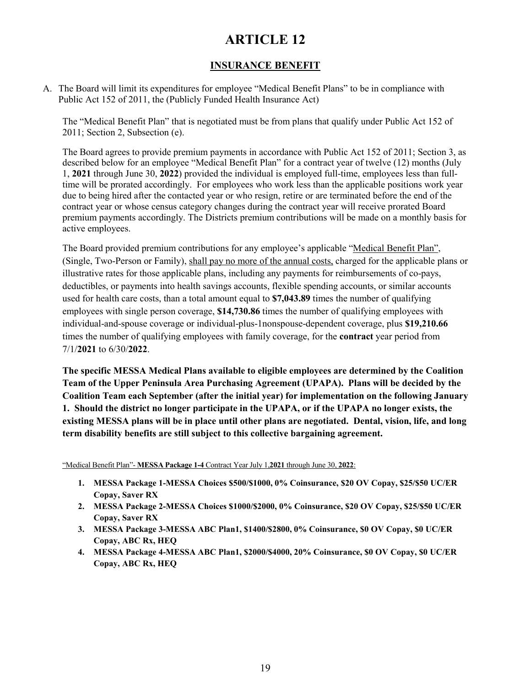### **INSURANCE BENEFIT**

A. The Board will limit its expenditures for employee "Medical Benefit Plans" to be in compliance with Public Act 152 of 2011, the (Publicly Funded Health Insurance Act)

The "Medical Benefit Plan" that is negotiated must be from plans that qualify under Public Act 152 of 2011; Section 2, Subsection (e).

The Board agrees to provide premium payments in accordance with Public Act 152 of 2011; Section 3, as described below for an employee "Medical Benefit Plan" for a contract year of twelve (12) months (July 1, **2021** through June 30, **2022**) provided the individual is employed full-time, employees less than fulltime will be prorated accordingly. For employees who work less than the applicable positions work year due to being hired after the contacted year or who resign, retire or are terminated before the end of the contract year or whose census category changes during the contract year will receive prorated Board premium payments accordingly. The Districts premium contributions will be made on a monthly basis for active employees.

The Board provided premium contributions for any employee's applicable "Medical Benefit Plan", (Single, Two-Person or Family), shall pay no more of the annual costs, charged for the applicable plans or illustrative rates for those applicable plans, including any payments for reimbursements of co-pays, deductibles, or payments into health savings accounts, flexible spending accounts, or similar accounts used for health care costs, than a total amount equal to **\$7,043.89** times the number of qualifying employees with single person coverage, **\$14,730.86** times the number of qualifying employees with individual-and-spouse coverage or individual-plus-1nonspouse-dependent coverage, plus **\$19,210.66**  times the number of qualifying employees with family coverage, for the **contract** year period from 7/1/**2021** to 6/30/**2022**.

**The specific MESSA Medical Plans available to eligible employees are determined by the Coalition Team of the Upper Peninsula Area Purchasing Agreement (UPAPA). Plans will be decided by the Coalition Team each September (after the initial year) for implementation on the following January 1. Should the district no longer participate in the UPAPA, or if the UPAPA no longer exists, the existing MESSA plans will be in place until other plans are negotiated. Dental, vision, life, and long term disability benefits are still subject to this collective bargaining agreement.** 

"Medical Benefit Plan"- **MESSA Package 1-4** Contract Year July 1,**2021** through June 30, **2022**:

- **1. MESSA Package 1-MESSA Choices \$500/\$1000, 0% Coinsurance, \$20 OV Copay, \$25/\$50 UC/ER Copay, Saver RX**
- **2. MESSA Package 2-MESSA Choices \$1000/\$2000, 0% Coinsurance, \$20 OV Copay, \$25/\$50 UC/ER Copay, Saver RX**
- **3. MESSA Package 3-MESSA ABC Plan1, \$1400/\$2800, 0% Coinsurance, \$0 OV Copay, \$0 UC/ER Copay, ABC Rx, HEQ**
- **4. MESSA Package 4-MESSA ABC Plan1, \$2000/\$4000, 20% Coinsurance, \$0 OV Copay, \$0 UC/ER Copay, ABC Rx, HEQ**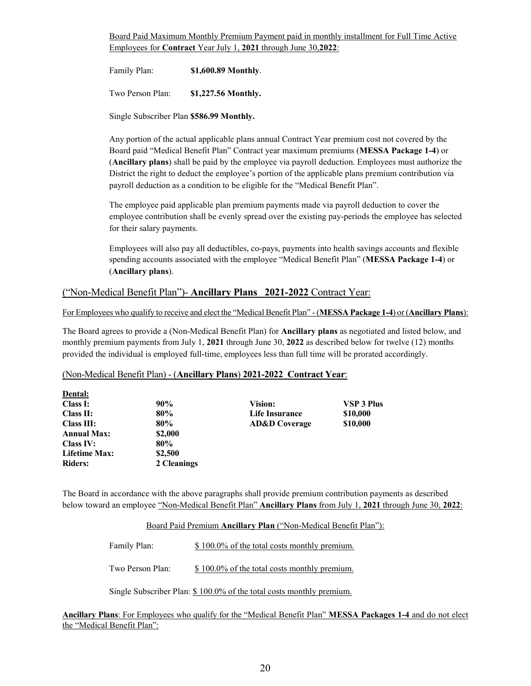Board Paid Maximum Monthly Premium Payment paid in monthly installment for Full Time Active Employees for **Contract** Year July 1, **2021** through June 30,**2022**:

Family Plan: **\$1,600.89 Monthly**.

Two Person Plan: **\$1,227.56 Monthly.**

Single Subscriber Plan **\$586.99 Monthly.**

Any portion of the actual applicable plans annual Contract Year premium cost not covered by the Board paid "Medical Benefit Plan" Contract year maximum premiums (**MESSA Package 1-4**) or (**Ancillary plans**) shall be paid by the employee via payroll deduction. Employees must authorize the District the right to deduct the employee's portion of the applicable plans premium contribution via payroll deduction as a condition to be eligible for the "Medical Benefit Plan".

The employee paid applicable plan premium payments made via payroll deduction to cover the employee contribution shall be evenly spread over the existing pay-periods the employee has selected for their salary payments.

Employees will also pay all deductibles, co-pays, payments into health savings accounts and flexible spending accounts associated with the employee "Medical Benefit Plan" (**MESSA Package 1-4**) or (**Ancillary plans**).

#### ("Non-Medical Benefit Plan")- **Ancillary Plans 2021-2022** Contract Year:

For Employees who qualify to receive and elect the "Medical Benefit Plan" - (**MESSA Package 1-4**) or (**Ancillary Plans**):

The Board agrees to provide a (Non-Medical Benefit Plan) for **Ancillary plans** as negotiated and listed below, and monthly premium payments from July 1, **2021** through June 30, **2022** as described below for twelve (12) months provided the individual is employed full-time, employees less than full time will be prorated accordingly.

#### (Non-Medical Benefit Plan) - (**Ancillary Plans**) **2021-2022 Contract Year**:

| 90%         | Vision:                  | <b>VSP 3 Plus</b> |
|-------------|--------------------------|-------------------|
| 80%         | Life Insurance           | \$10,000          |
| 80%         | <b>AD&amp;D</b> Coverage | \$10,000          |
| \$2,000     |                          |                   |
| 80%         |                          |                   |
| \$2,500     |                          |                   |
| 2 Cleanings |                          |                   |
|             |                          |                   |

The Board in accordance with the above paragraphs shall provide premium contribution payments as described below toward an employee "Non-Medical Benefit Plan" **Ancillary Plans** from July 1, **2021** through June 30, **2022**:

Board Paid Premium **Ancillary Plan** ("Non-Medical Benefit Plan"):

Family Plan:  $$ 100.0\%$  of the total costs monthly premium.

Two Person Plan:  $$100.0\%$  of the total costs monthly premium.

Single Subscriber Plan: \$ 100.0% of the total costs monthly premium.

**Ancillary Plans**: For Employees who qualify for the "Medical Benefit Plan" **MESSA Packages 1-4** and do not elect the "Medical Benefit Plan":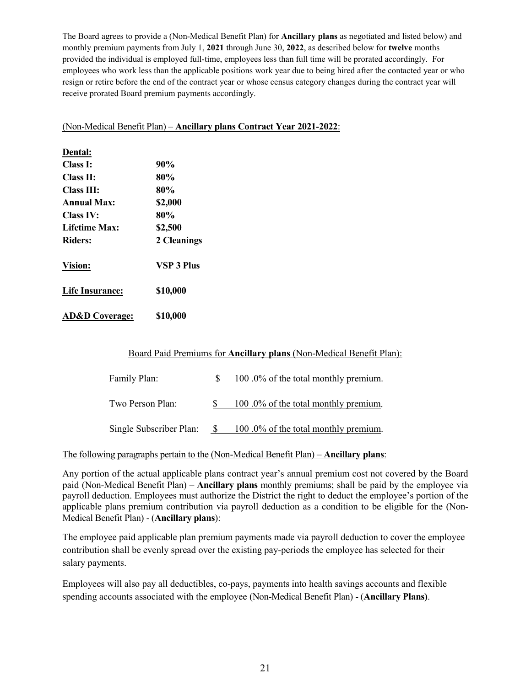The Board agrees to provide a (Non-Medical Benefit Plan) for **Ancillary plans** as negotiated and listed below) and monthly premium payments from July 1, **2021** through June 30, **2022**, as described below for **twelve** months provided the individual is employed full-time, employees less than full time will be prorated accordingly. For employees who work less than the applicable positions work year due to being hired after the contacted year or who resign or retire before the end of the contract year or whose census category changes during the contract year will receive prorated Board premium payments accordingly.

#### (Non-Medical Benefit Plan) – **Ancillary plans Contract Year 2021-2022**:

| Dental:                   |                   |
|---------------------------|-------------------|
| Class I:                  | 90%               |
| <b>Class II:</b>          | 80%               |
| <b>Class III:</b>         | 80%               |
| Annual Max:               | \$2,000           |
| <b>Class IV:</b>          | 80%               |
| <b>Lifetime Max:</b>      | \$2,500           |
| <b>Riders:</b>            | 2 Cleanings       |
| <b>Vision:</b>            | <b>VSP 3 Plus</b> |
| <b>Life Insurance:</b>    | \$10,000          |
| <b>AD&amp;D</b> Coverage: | \$10,000          |

#### Board Paid Premiums for **Ancillary plans** (Non-Medical Benefit Plan):

| Family Plan:            | 100.0% of the total monthly premium. |
|-------------------------|--------------------------------------|
| Two Person Plan:        | 100.0% of the total monthly premium. |
| Single Subscriber Plan: | 100.0% of the total monthly premium. |

#### The following paragraphs pertain to the (Non-Medical Benefit Plan) – **Ancillary plans**:

Any portion of the actual applicable plans contract year's annual premium cost not covered by the Board paid (Non-Medical Benefit Plan) – **Ancillary plans** monthly premiums; shall be paid by the employee via payroll deduction. Employees must authorize the District the right to deduct the employee's portion of the applicable plans premium contribution via payroll deduction as a condition to be eligible for the (Non-Medical Benefit Plan) - (**Ancillary plans**):

The employee paid applicable plan premium payments made via payroll deduction to cover the employee contribution shall be evenly spread over the existing pay-periods the employee has selected for their salary payments.

Employees will also pay all deductibles, co-pays, payments into health savings accounts and flexible spending accounts associated with the employee (Non-Medical Benefit Plan) - (**Ancillary Plans)**.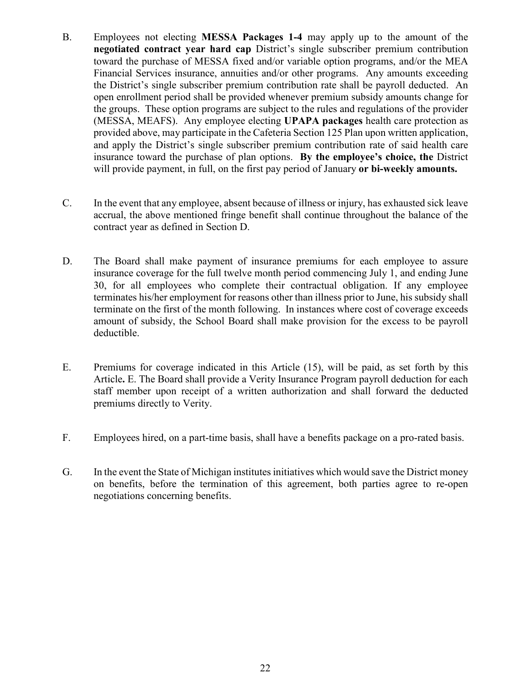- B. Employees not electing **MESSA Packages 1-4** may apply up to the amount of the **negotiated contract year hard cap** District's single subscriber premium contribution toward the purchase of MESSA fixed and/or variable option programs, and/or the MEA Financial Services insurance, annuities and/or other programs. Any amounts exceeding the District's single subscriber premium contribution rate shall be payroll deducted. An open enrollment period shall be provided whenever premium subsidy amounts change for the groups. These option programs are subject to the rules and regulations of the provider (MESSA, MEAFS). Any employee electing **UPAPA packages** health care protection as provided above, may participate in the Cafeteria Section 125 Plan upon written application, and apply the District's single subscriber premium contribution rate of said health care insurance toward the purchase of plan options. **By the employee's choice, the** District will provide payment, in full, on the first pay period of January **or bi-weekly amounts.**
- C. In the event that any employee, absent because of illness or injury, has exhausted sick leave accrual, the above mentioned fringe benefit shall continue throughout the balance of the contract year as defined in Section D.
- D. The Board shall make payment of insurance premiums for each employee to assure insurance coverage for the full twelve month period commencing July 1, and ending June 30, for all employees who complete their contractual obligation. If any employee terminates his/her employment for reasons other than illness prior to June, his subsidy shall terminate on the first of the month following. In instances where cost of coverage exceeds amount of subsidy, the School Board shall make provision for the excess to be payroll deductible.
- E. Premiums for coverage indicated in this Article (15), will be paid, as set forth by this Article**.** E. The Board shall provide a Verity Insurance Program payroll deduction for each staff member upon receipt of a written authorization and shall forward the deducted premiums directly to Verity.
- F. Employees hired, on a part-time basis, shall have a benefits package on a pro-rated basis.
- G. In the event the State of Michigan institutes initiatives which would save the District money on benefits, before the termination of this agreement, both parties agree to re-open negotiations concerning benefits.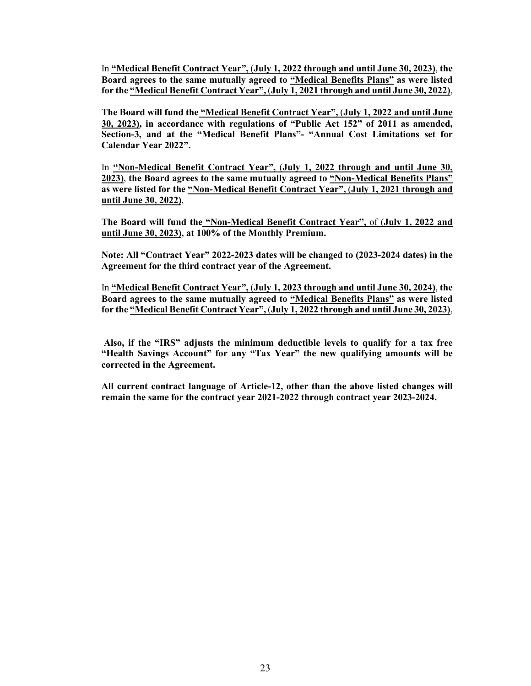In **"Medical Benefit Contract Year",** (**July 1, 2022 through and until June 30, 2023)**, **the Board agrees to the same mutually agreed to "Medical Benefits Plans" as were listed for the "Medical Benefit Contract Year",** (**July 1, 2021 through and until June 30, 2022)**,

**The Board will fund the "Medical Benefit Contract Year",** (**July 1, 2022 and until June 30, 2023), in accordance with regulations of "Public Act 152" of 2011 as amended, Section-3, and at the "Medical Benefit Plans"- "Annual Cost Limitations set for Calendar Year 2022".**

In **"Non-Medical Benefit Contract Year",** (**July 1, 2022 through and until June 30, 2023)**, **the Board agrees to the same mutually agreed to "Non-Medical Benefits Plans" as were listed for the "Non-Medical Benefit Contract Year",** (**July 1, 2021 through and until June 30, 2022)**,

**The Board will fund the "Non-Medical Benefit Contract Year",** of (**July 1, 2022 and until June 30, 2023), at 100% of the Monthly Premium.**

**Note: All "Contract Year" 2022-2023 dates will be changed to (2023-2024 dates) in the Agreement for the third contract year of the Agreement.**

In **"Medical Benefit Contract Year",** (**July 1, 2023 through and until June 30, 2024)**, **the Board agrees to the same mutually agreed to "Medical Benefits Plans" as were listed for the "Medical Benefit Contract Year",** (**July 1, 2022 through and until June 30, 2023)**,

**Also, if the "IRS" adjusts the minimum deductible levels to qualify for a tax free "Health Savings Account" for any "Tax Year" the new qualifying amounts will be corrected in the Agreement.** 

**All current contract language of Article-12, other than the above listed changes will remain the same for the contract year 2021-2022 through contract year 2023-2024.**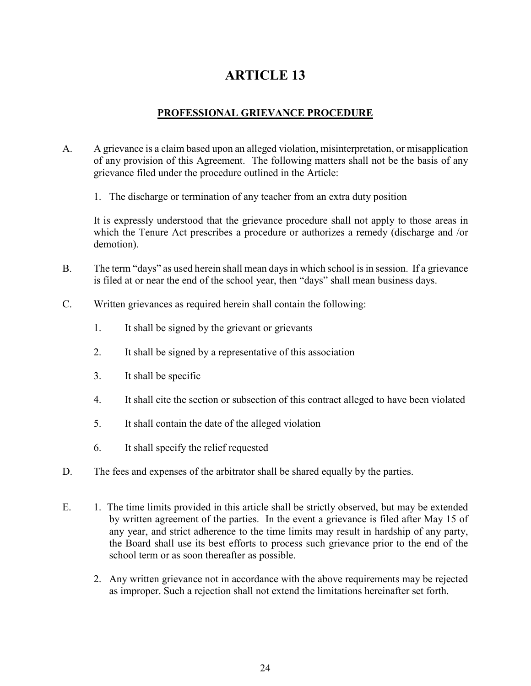### **PROFESSIONAL GRIEVANCE PROCEDURE**

- A. A grievance is a claim based upon an alleged violation, misinterpretation, or misapplication of any provision of this Agreement. The following matters shall not be the basis of any grievance filed under the procedure outlined in the Article:
	- 1. The discharge or termination of any teacher from an extra duty position

It is expressly understood that the grievance procedure shall not apply to those areas in which the Tenure Act prescribes a procedure or authorizes a remedy (discharge and /or demotion).

- B. The term "days" as used herein shall mean days in which school is in session. If a grievance is filed at or near the end of the school year, then "days" shall mean business days.
- C. Written grievances as required herein shall contain the following:
	- 1. It shall be signed by the grievant or grievants
	- 2. It shall be signed by a representative of this association
	- 3. It shall be specific
	- 4. It shall cite the section or subsection of this contract alleged to have been violated
	- 5. It shall contain the date of the alleged violation
	- 6. It shall specify the relief requested
- D. The fees and expenses of the arbitrator shall be shared equally by the parties.
- E. 1. The time limits provided in this article shall be strictly observed, but may be extended by written agreement of the parties. In the event a grievance is filed after May 15 of any year, and strict adherence to the time limits may result in hardship of any party, the Board shall use its best efforts to process such grievance prior to the end of the school term or as soon thereafter as possible.
	- 2. Any written grievance not in accordance with the above requirements may be rejected as improper. Such a rejection shall not extend the limitations hereinafter set forth.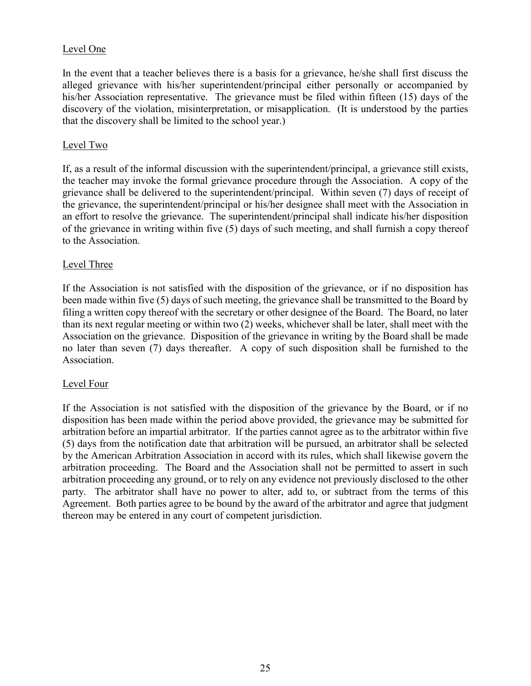### Level One

In the event that a teacher believes there is a basis for a grievance, he/she shall first discuss the alleged grievance with his/her superintendent/principal either personally or accompanied by his/her Association representative. The grievance must be filed within fifteen (15) days of the discovery of the violation, misinterpretation, or misapplication. (It is understood by the parties that the discovery shall be limited to the school year.)

#### Level Two

If, as a result of the informal discussion with the superintendent/principal, a grievance still exists, the teacher may invoke the formal grievance procedure through the Association. A copy of the grievance shall be delivered to the superintendent/principal. Within seven (7) days of receipt of the grievance, the superintendent/principal or his/her designee shall meet with the Association in an effort to resolve the grievance. The superintendent/principal shall indicate his/her disposition of the grievance in writing within five (5) days of such meeting, and shall furnish a copy thereof to the Association.

#### Level Three

If the Association is not satisfied with the disposition of the grievance, or if no disposition has been made within five (5) days of such meeting, the grievance shall be transmitted to the Board by filing a written copy thereof with the secretary or other designee of the Board. The Board, no later than its next regular meeting or within two (2) weeks, whichever shall be later, shall meet with the Association on the grievance. Disposition of the grievance in writing by the Board shall be made no later than seven (7) days thereafter. A copy of such disposition shall be furnished to the Association.

#### Level Four

If the Association is not satisfied with the disposition of the grievance by the Board, or if no disposition has been made within the period above provided, the grievance may be submitted for arbitration before an impartial arbitrator. If the parties cannot agree as to the arbitrator within five (5) days from the notification date that arbitration will be pursued, an arbitrator shall be selected by the American Arbitration Association in accord with its rules, which shall likewise govern the arbitration proceeding. The Board and the Association shall not be permitted to assert in such arbitration proceeding any ground, or to rely on any evidence not previously disclosed to the other party. The arbitrator shall have no power to alter, add to, or subtract from the terms of this Agreement. Both parties agree to be bound by the award of the arbitrator and agree that judgment thereon may be entered in any court of competent jurisdiction.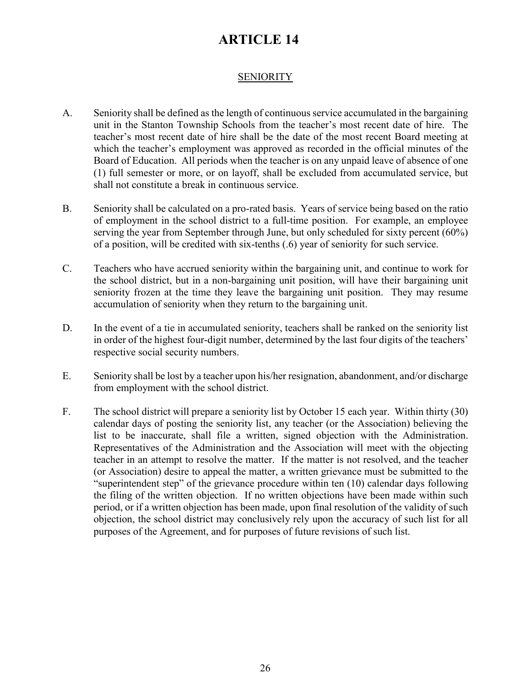### **SENIORITY**

- A. Seniority shall be defined as the length of continuous service accumulated in the bargaining unit in the Stanton Township Schools from the teacher's most recent date of hire. The teacher's most recent date of hire shall be the date of the most recent Board meeting at which the teacher's employment was approved as recorded in the official minutes of the Board of Education. All periods when the teacher is on any unpaid leave of absence of one (1) full semester or more, or on layoff, shall be excluded from accumulated service, but shall not constitute a break in continuous service.
- B. Seniority shall be calculated on a pro-rated basis. Years of service being based on the ratio of employment in the school district to a full-time position. For example, an employee serving the year from September through June, but only scheduled for sixty percent (60%) of a position, will be credited with six-tenths (.6) year of seniority for such service.
- C. Teachers who have accrued seniority within the bargaining unit, and continue to work for the school district, but in a non-bargaining unit position, will have their bargaining unit seniority frozen at the time they leave the bargaining unit position. They may resume accumulation of seniority when they return to the bargaining unit.
- D. In the event of a tie in accumulated seniority, teachers shall be ranked on the seniority list in order of the highest four-digit number, determined by the last four digits of the teachers' respective social security numbers.
- E. Seniority shall be lost by a teacher upon his/her resignation, abandonment, and/or discharge from employment with the school district.
- F. The school district will prepare a seniority list by October 15 each year. Within thirty (30) calendar days of posting the seniority list, any teacher (or the Association) believing the list to be inaccurate, shall file a written, signed objection with the Administration. Representatives of the Administration and the Association will meet with the objecting teacher in an attempt to resolve the matter. If the matter is not resolved, and the teacher (or Association) desire to appeal the matter, a written grievance must be submitted to the "superintendent step" of the grievance procedure within ten (10) calendar days following the filing of the written objection. If no written objections have been made within such period, or if a written objection has been made, upon final resolution of the validity of such objection, the school district may conclusively rely upon the accuracy of such list for all purposes of the Agreement, and for purposes of future revisions of such list.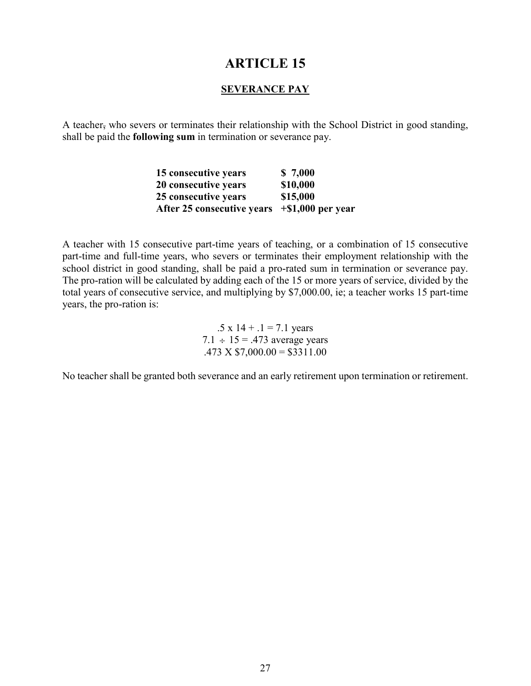#### **SEVERANCE PAY**

A teacher, who severs or terminates their relationship with the School District in good standing, shall be paid the **following sum** in termination or severance pay.

| 15 consecutive years       | \$7,000              |
|----------------------------|----------------------|
| 20 consecutive years       | \$10,000             |
| 25 consecutive years       | \$15,000             |
| After 25 consecutive years | $+$ \$1,000 per year |

A teacher with 15 consecutive part-time years of teaching, or a combination of 15 consecutive part-time and full-time years, who severs or terminates their employment relationship with the school district in good standing, shall be paid a pro-rated sum in termination or severance pay. The pro-ration will be calculated by adding each of the 15 or more years of service, divided by the total years of consecutive service, and multiplying by \$7,000.00, ie; a teacher works 15 part-time years, the pro-ration is:

> .5 x  $14 + .1 = 7.1$  years 7.1  $\div$  15 = .473 average years  $.473 \text{ X } $7,000.00 = $3311.00$

No teacher shall be granted both severance and an early retirement upon termination or retirement.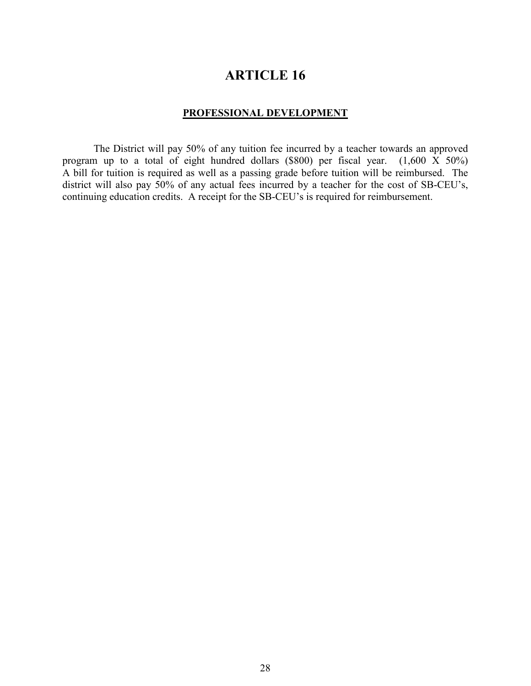#### **PROFESSIONAL DEVELOPMENT**

The District will pay 50% of any tuition fee incurred by a teacher towards an approved program up to a total of eight hundred dollars (\$800) per fiscal year. (1,600 X 50%) A bill for tuition is required as well as a passing grade before tuition will be reimbursed. The district will also pay 50% of any actual fees incurred by a teacher for the cost of SB-CEU's, continuing education credits. A receipt for the SB-CEU's is required for reimbursement.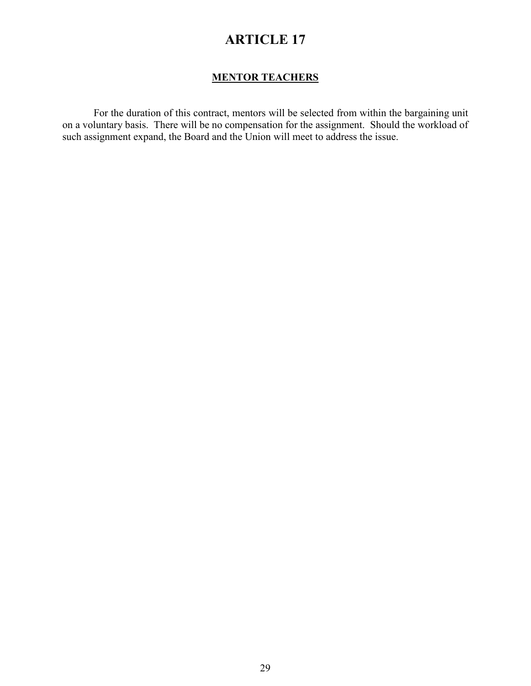### **MENTOR TEACHERS**

For the duration of this contract, mentors will be selected from within the bargaining unit on a voluntary basis. There will be no compensation for the assignment. Should the workload of such assignment expand, the Board and the Union will meet to address the issue.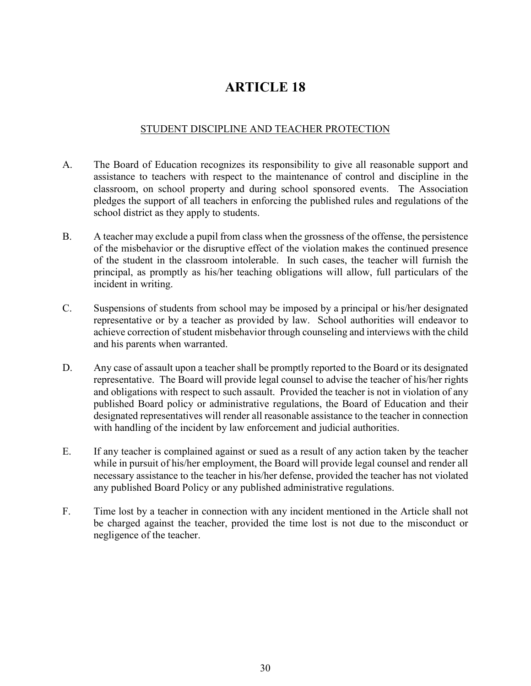### STUDENT DISCIPLINE AND TEACHER PROTECTION

- A. The Board of Education recognizes its responsibility to give all reasonable support and assistance to teachers with respect to the maintenance of control and discipline in the classroom, on school property and during school sponsored events. The Association pledges the support of all teachers in enforcing the published rules and regulations of the school district as they apply to students.
- B. A teacher may exclude a pupil from class when the grossness of the offense, the persistence of the misbehavior or the disruptive effect of the violation makes the continued presence of the student in the classroom intolerable. In such cases, the teacher will furnish the principal, as promptly as his/her teaching obligations will allow, full particulars of the incident in writing.
- C. Suspensions of students from school may be imposed by a principal or his/her designated representative or by a teacher as provided by law. School authorities will endeavor to achieve correction of student misbehavior through counseling and interviews with the child and his parents when warranted.
- D. Any case of assault upon a teacher shall be promptly reported to the Board or its designated representative. The Board will provide legal counsel to advise the teacher of his/her rights and obligations with respect to such assault. Provided the teacher is not in violation of any published Board policy or administrative regulations, the Board of Education and their designated representatives will render all reasonable assistance to the teacher in connection with handling of the incident by law enforcement and judicial authorities.
- E. If any teacher is complained against or sued as a result of any action taken by the teacher while in pursuit of his/her employment, the Board will provide legal counsel and render all necessary assistance to the teacher in his/her defense, provided the teacher has not violated any published Board Policy or any published administrative regulations.
- F. Time lost by a teacher in connection with any incident mentioned in the Article shall not be charged against the teacher, provided the time lost is not due to the misconduct or negligence of the teacher.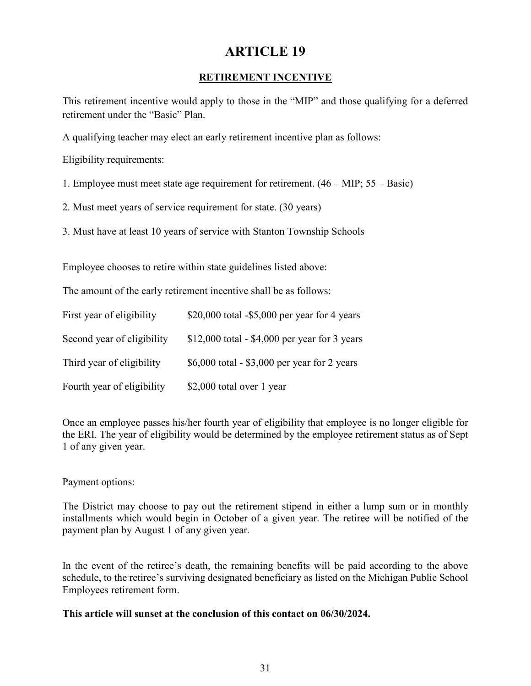### **RETIREMENT INCENTIVE**

This retirement incentive would apply to those in the "MIP" and those qualifying for a deferred retirement under the "Basic" Plan.

A qualifying teacher may elect an early retirement incentive plan as follows:

Eligibility requirements:

- 1. Employee must meet state age requirement for retirement. (46 MIP; 55 Basic)
- 2. Must meet years of service requirement for state. (30 years)
- 3. Must have at least 10 years of service with Stanton Township Schools

Employee chooses to retire within state guidelines listed above:

The amount of the early retirement incentive shall be as follows:

| First year of eligibility  | $$20,000$ total $-$5,000$ per year for 4 years |
|----------------------------|------------------------------------------------|
| Second year of eligibility | $$12,000$ total - \$4,000 per year for 3 years |
| Third year of eligibility  | \$6,000 total - \$3,000 per year for 2 years   |
| Fourth year of eligibility | \$2,000 total over 1 year                      |

Once an employee passes his/her fourth year of eligibility that employee is no longer eligible for the ERI. The year of eligibility would be determined by the employee retirement status as of Sept 1 of any given year.

#### Payment options:

The District may choose to pay out the retirement stipend in either a lump sum or in monthly installments which would begin in October of a given year. The retiree will be notified of the payment plan by August 1 of any given year.

In the event of the retiree's death, the remaining benefits will be paid according to the above schedule, to the retiree's surviving designated beneficiary as listed on the Michigan Public School Employees retirement form.

#### **This article will sunset at the conclusion of this contact on 06/30/2024.**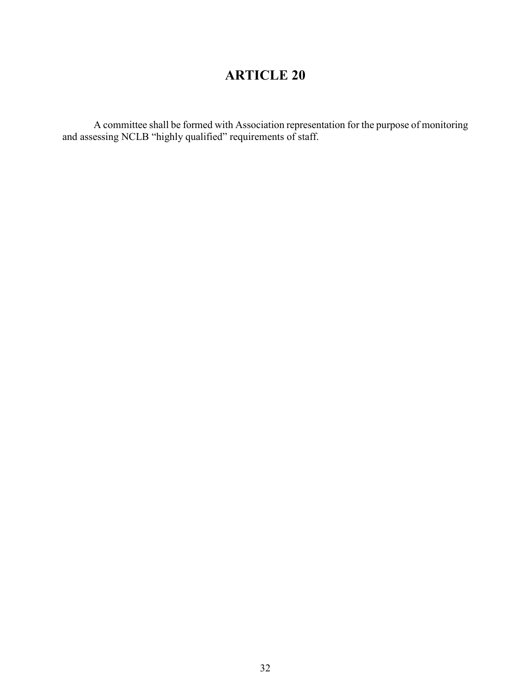A committee shall be formed with Association representation for the purpose of monitoring and assessing NCLB "highly qualified" requirements of staff.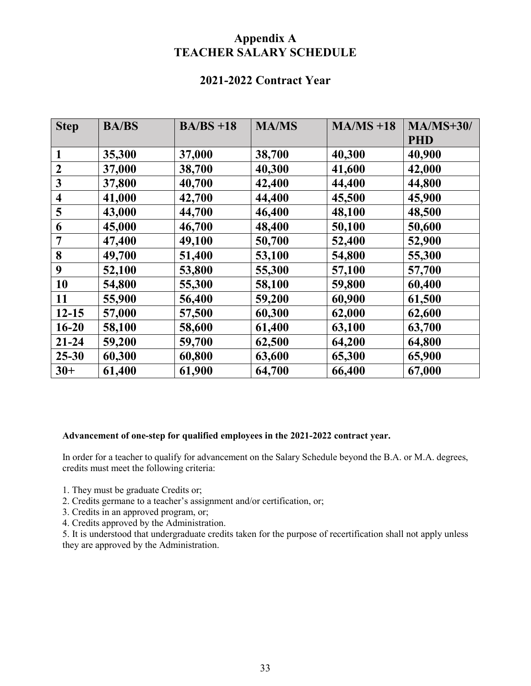## **Appendix A TEACHER SALARY SCHEDULE**

## **2021-2022 Contract Year**

| <b>Step</b>             | <b>BA/BS</b> | $BA/BS +18$ | <b>MA/MS</b> | $MA/MS + 18$ | $MA/MS+30/$ |
|-------------------------|--------------|-------------|--------------|--------------|-------------|
|                         |              |             |              |              | <b>PHD</b>  |
| $\mathbf{1}$            | 35,300       | 37,000      | 38,700       | 40,300       | 40,900      |
| $\overline{2}$          | 37,000       | 38,700      | 40,300       | 41,600       | 42,000      |
| $\mathbf{3}$            | 37,800       | 40,700      | 42,400       | 44,400       | 44,800      |
| $\overline{\mathbf{4}}$ | 41,000       | 42,700      | 44,400       | 45,500       | 45,900      |
| 5                       | 43,000       | 44,700      | 46,400       | 48,100       | 48,500      |
| 6                       | 45,000       | 46,700      | 48,400       | 50,100       | 50,600      |
| $\overline{7}$          | 47,400       | 49,100      | 50,700       | 52,400       | 52,900      |
| 8                       | 49,700       | 51,400      | 53,100       | 54,800       | 55,300      |
| 9                       | 52,100       | 53,800      | 55,300       | 57,100       | 57,700      |
| 10                      | 54,800       | 55,300      | 58,100       | 59,800       | 60,400      |
| 11                      | 55,900       | 56,400      | 59,200       | 60,900       | 61,500      |
| $12 - 15$               | 57,000       | 57,500      | 60,300       | 62,000       | 62,600      |
| $16 - 20$               | 58,100       | 58,600      | 61,400       | 63,100       | 63,700      |
| $21 - 24$               | 59,200       | 59,700      | 62,500       | 64,200       | 64,800      |
| $25 - 30$               | 60,300       | 60,800      | 63,600       | 65,300       | 65,900      |
| $30+$                   | 61,400       | 61,900      | 64,700       | 66,400       | 67,000      |

#### **Advancement of one-step for qualified employees in the 2021-2022 contract year.**

In order for a teacher to qualify for advancement on the Salary Schedule beyond the B.A. or M.A. degrees, credits must meet the following criteria:

- 1. They must be graduate Credits or;
- 2. Credits germane to a teacher's assignment and/or certification, or;
- 3. Credits in an approved program, or;
- 4. Credits approved by the Administration.

5. It is understood that undergraduate credits taken for the purpose of recertification shall not apply unless they are approved by the Administration.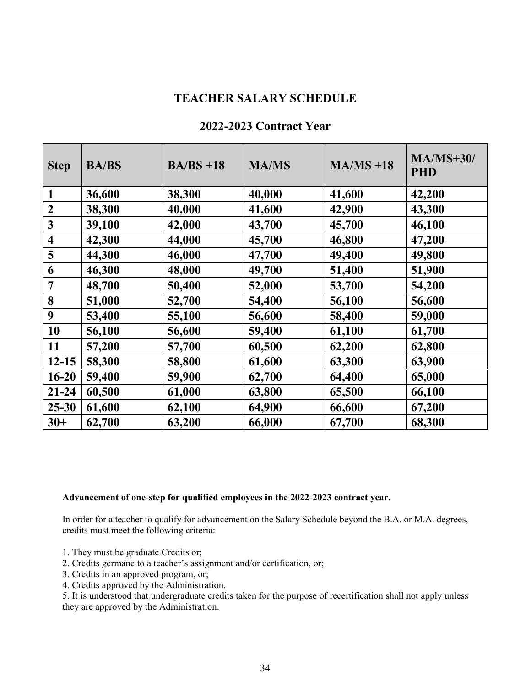### **TEACHER SALARY SCHEDULE**

|  | 2022-2023 Contract Year |
|--|-------------------------|
|--|-------------------------|

| <b>Step</b>             | <b>BA/BS</b> | $BA/BS +18$ | <b>MA/MS</b> | $MA/MS + 18$ | $MA/MS+30/$<br><b>PHD</b> |
|-------------------------|--------------|-------------|--------------|--------------|---------------------------|
| $\mathbf{1}$            | 36,600       | 38,300      | 40,000       | 41,600       | 42,200                    |
| $\overline{2}$          | 38,300       | 40,000      | 41,600       | 42,900       | 43,300                    |
| $\mathbf{3}$            | 39,100       | 42,000      | 43,700       | 45,700       | 46,100                    |
| $\overline{\mathbf{4}}$ | 42,300       | 44,000      | 45,700       | 46,800       | 47,200                    |
| 5                       | 44,300       | 46,000      | 47,700       | 49,400       | 49,800                    |
| 6                       | 46,300       | 48,000      | 49,700       | 51,400       | 51,900                    |
| 7                       | 48,700       | 50,400      | 52,000       | 53,700       | 54,200                    |
| 8                       | 51,000       | 52,700      | 54,400       | 56,100       | 56,600                    |
| 9                       | 53,400       | 55,100      | 56,600       | 58,400       | 59,000                    |
| 10                      | 56,100       | 56,600      | 59,400       | 61,100       | 61,700                    |
| 11                      | 57,200       | 57,700      | 60,500       | 62,200       | 62,800                    |
| $12 - 15$               | 58,300       | 58,800      | 61,600       | 63,300       | 63,900                    |
| $16 - 20$               | 59,400       | 59,900      | 62,700       | 64,400       | 65,000                    |
| $21 - 24$               | 60,500       | 61,000      | 63,800       | 65,500       | 66,100                    |
| $25 - 30$               | 61,600       | 62,100      | 64,900       | 66,600       | 67,200                    |
| $30+$                   | 62,700       | 63,200      | 66,000       | 67,700       | 68,300                    |

#### **Advancement of one-step for qualified employees in the 2022-2023 contract year.**

In order for a teacher to qualify for advancement on the Salary Schedule beyond the B.A. or M.A. degrees, credits must meet the following criteria:

- 1. They must be graduate Credits or;
- 2. Credits germane to a teacher's assignment and/or certification, or;
- 3. Credits in an approved program, or;
- 4. Credits approved by the Administration.

5. It is understood that undergraduate credits taken for the purpose of recertification shall not apply unless they are approved by the Administration.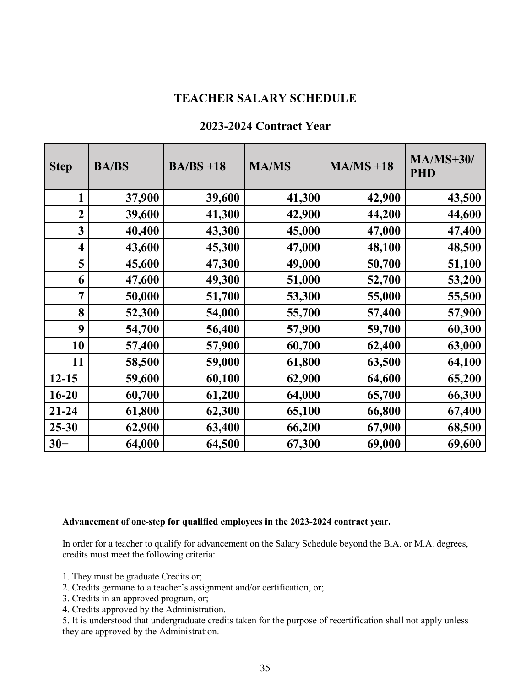### **TEACHER SALARY SCHEDULE**

| <b>Step</b>    | <b>BA/BS</b> | $BA/BS +18$ | <b>MA/MS</b> | $MA/MS + 18$ | $MA/MS+30/$<br><b>PHD</b> |
|----------------|--------------|-------------|--------------|--------------|---------------------------|
| $\mathbf{1}$   | 37,900       | 39,600      | 41,300       | 42,900       | 43,500                    |
| $\overline{2}$ | 39,600       | 41,300      | 42,900       | 44,200       | 44,600                    |
| 3              | 40,400       | 43,300      | 45,000       | 47,000       | 47,400                    |
| 4              | 43,600       | 45,300      | 47,000       | 48,100       | 48,500                    |
| 5              | 45,600       | 47,300      | 49,000       | 50,700       | 51,100                    |
| 6              | 47,600       | 49,300      | 51,000       | 52,700       | 53,200                    |
| 7              | 50,000       | 51,700      | 53,300       | 55,000       | 55,500                    |
| 8              | 52,300       | 54,000      | 55,700       | 57,400       | 57,900                    |
| 9              | 54,700       | 56,400      | 57,900       | 59,700       | 60,300                    |
| 10             | 57,400       | 57,900      | 60,700       | 62,400       | 63,000                    |
| 11             | 58,500       | 59,000      | 61,800       | 63,500       | 64,100                    |
| $12 - 15$      | 59,600       | 60,100      | 62,900       | 64,600       | 65,200                    |
| $16 - 20$      | 60,700       | 61,200      | 64,000       | 65,700       | 66,300                    |
| $21 - 24$      | 61,800       | 62,300      | 65,100       | 66,800       | 67,400                    |
| $25 - 30$      | 62,900       | 63,400      | 66,200       | 67,900       | 68,500                    |
| $30+$          | 64,000       | 64,500      | 67,300       | 69,000       | 69,600                    |

### **2023-2024 Contract Year**

#### **Advancement of one-step for qualified employees in the 2023-2024 contract year.**

In order for a teacher to qualify for advancement on the Salary Schedule beyond the B.A. or M.A. degrees, credits must meet the following criteria:

- 1. They must be graduate Credits or;
- 2. Credits germane to a teacher's assignment and/or certification, or;
- 3. Credits in an approved program, or;
- 4. Credits approved by the Administration.

5. It is understood that undergraduate credits taken for the purpose of recertification shall not apply unless they are approved by the Administration.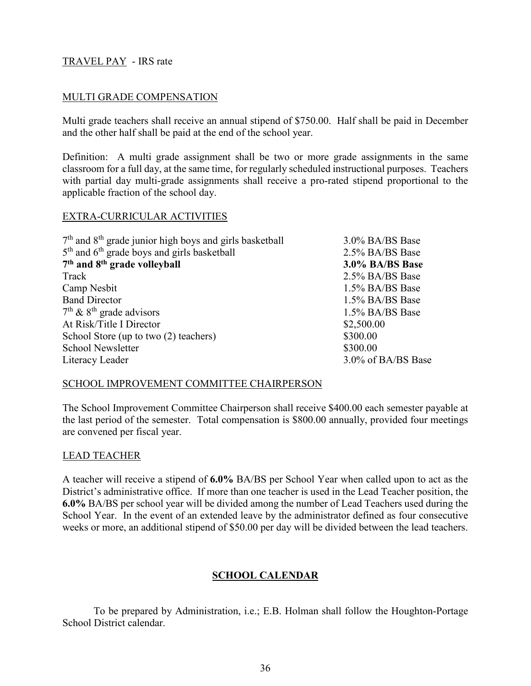### TRAVEL PAY - IRS rate

#### MULTI GRADE COMPENSATION

Multi grade teachers shall receive an annual stipend of \$750.00. Half shall be paid in December and the other half shall be paid at the end of the school year.

Definition: A multi grade assignment shall be two or more grade assignments in the same classroom for a full day, at the same time, for regularly scheduled instructional purposes. Teachers with partial day multi-grade assignments shall receive a pro-rated stipend proportional to the applicable fraction of the school day.

#### EXTRA-CURRICULAR ACTIVITIES

| $7th$ and $8th$ grade junior high boys and girls basketball | 3.0% BA/BS Base    |
|-------------------------------------------------------------|--------------------|
| $5th$ and $6th$ grade boys and girls basketball             | 2.5% BA/BS Base    |
| 7 <sup>th</sup> and 8 <sup>th</sup> grade volleyball        | 3.0% BA/BS Base    |
| Track                                                       | 2.5% BA/BS Base    |
| Camp Nesbit                                                 | 1.5% BA/BS Base    |
| <b>Band Director</b>                                        | 1.5% BA/BS Base    |
| $7th$ & $8th$ grade advisors                                | 1.5% BA/BS Base    |
| At Risk/Title I Director                                    | \$2,500.00         |
| School Store (up to two (2) teachers)                       | \$300.00           |
| <b>School Newsletter</b>                                    | \$300.00           |
| Literacy Leader                                             | 3.0% of BA/BS Base |

#### SCHOOL IMPROVEMENT COMMITTEE CHAIRPERSON

The School Improvement Committee Chairperson shall receive \$400.00 each semester payable at the last period of the semester. Total compensation is \$800.00 annually, provided four meetings are convened per fiscal year.

#### LEAD TEACHER

A teacher will receive a stipend of **6.0%** BA/BS per School Year when called upon to act as the District's administrative office. If more than one teacher is used in the Lead Teacher position, the **6.0%** BA/BS per school year will be divided among the number of Lead Teachers used during the School Year. In the event of an extended leave by the administrator defined as four consecutive weeks or more, an additional stipend of \$50.00 per day will be divided between the lead teachers.

### **SCHOOL CALENDAR**

To be prepared by Administration, i.e.; E.B. Holman shall follow the Houghton-Portage School District calendar.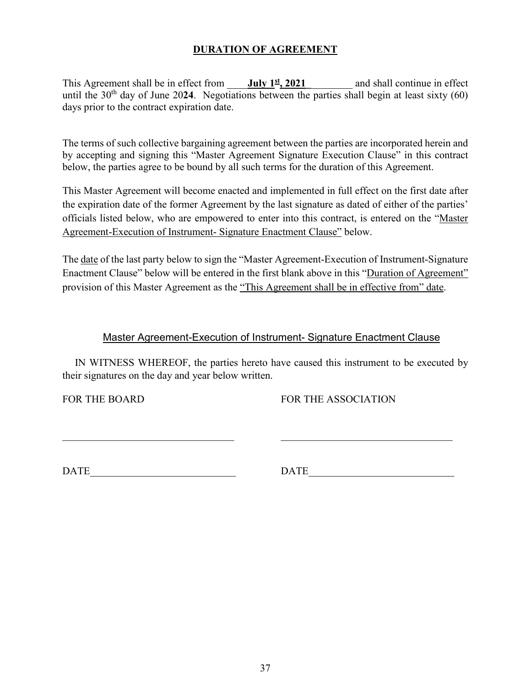### **DURATION OF AGREEMENT**

This Agreement shall be in effect from **July 1<sup>st</sup>, 2021** and shall continue in effect until the  $30<sup>th</sup>$  day of June 2024. Negotiations between the parties shall begin at least sixty (60) days prior to the contract expiration date.

The terms of such collective bargaining agreement between the parties are incorporated herein and by accepting and signing this "Master Agreement Signature Execution Clause" in this contract below, the parties agree to be bound by all such terms for the duration of this Agreement.

This Master Agreement will become enacted and implemented in full effect on the first date after the expiration date of the former Agreement by the last signature as dated of either of the parties' officials listed below, who are empowered to enter into this contract, is entered on the "Master Agreement-Execution of Instrument- Signature Enactment Clause" below.

The date of the last party below to sign the "Master Agreement-Execution of Instrument-Signature Enactment Clause" below will be entered in the first blank above in this "Duration of Agreement" provision of this Master Agreement as the "This Agreement shall be in effective from" date.

### Master Agreement-Execution of Instrument- Signature Enactment Clause

IN WITNESS WHEREOF, the parties hereto have caused this instrument to be executed by their signatures on the day and year below written.

 $\_$  , and the set of the set of the set of the set of the set of the set of the set of the set of the set of the set of the set of the set of the set of the set of the set of the set of the set of the set of the set of th

FOR THE BOARD FOR THE ASSOCIATION

DATE\_\_\_\_\_\_\_\_\_\_\_\_\_\_\_\_\_\_\_\_\_\_\_\_\_\_\_\_ DATE\_\_\_\_\_\_\_\_\_\_\_\_\_\_\_\_\_\_\_\_\_\_\_\_\_\_\_\_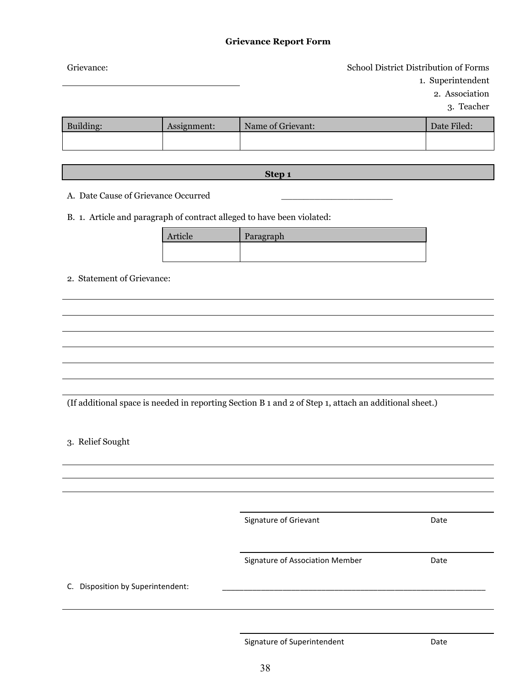#### **Grievance Report Form**

| Grievance: |             |                   | School District Distribution of Forms |                   |
|------------|-------------|-------------------|---------------------------------------|-------------------|
|            |             |                   |                                       | 1. Superintendent |
|            |             |                   |                                       | 2. Association    |
|            |             |                   |                                       | 3. Teacher        |
| Building:  | Assignment: | Name of Grievant: |                                       | Date Filed:       |
|            |             |                   |                                       |                   |
|            |             |                   |                                       |                   |

**Step 1**

A. Date Cause of Grievance Occurred

B. 1. Article and paragraph of contract alleged to have been violated:

| Article | Paragraph |
|---------|-----------|
|         |           |
|         |           |

2. Statement of Grievance:

(If additional space is needed in reporting Section B 1 and 2 of Step 1, attach an additional sheet.)

3. Relief Sought

Signature of Grievant **Date** 

Signature of Association Member **Date** 

C. Disposition by Superintendent:

Signature of Superintendent and Date Date